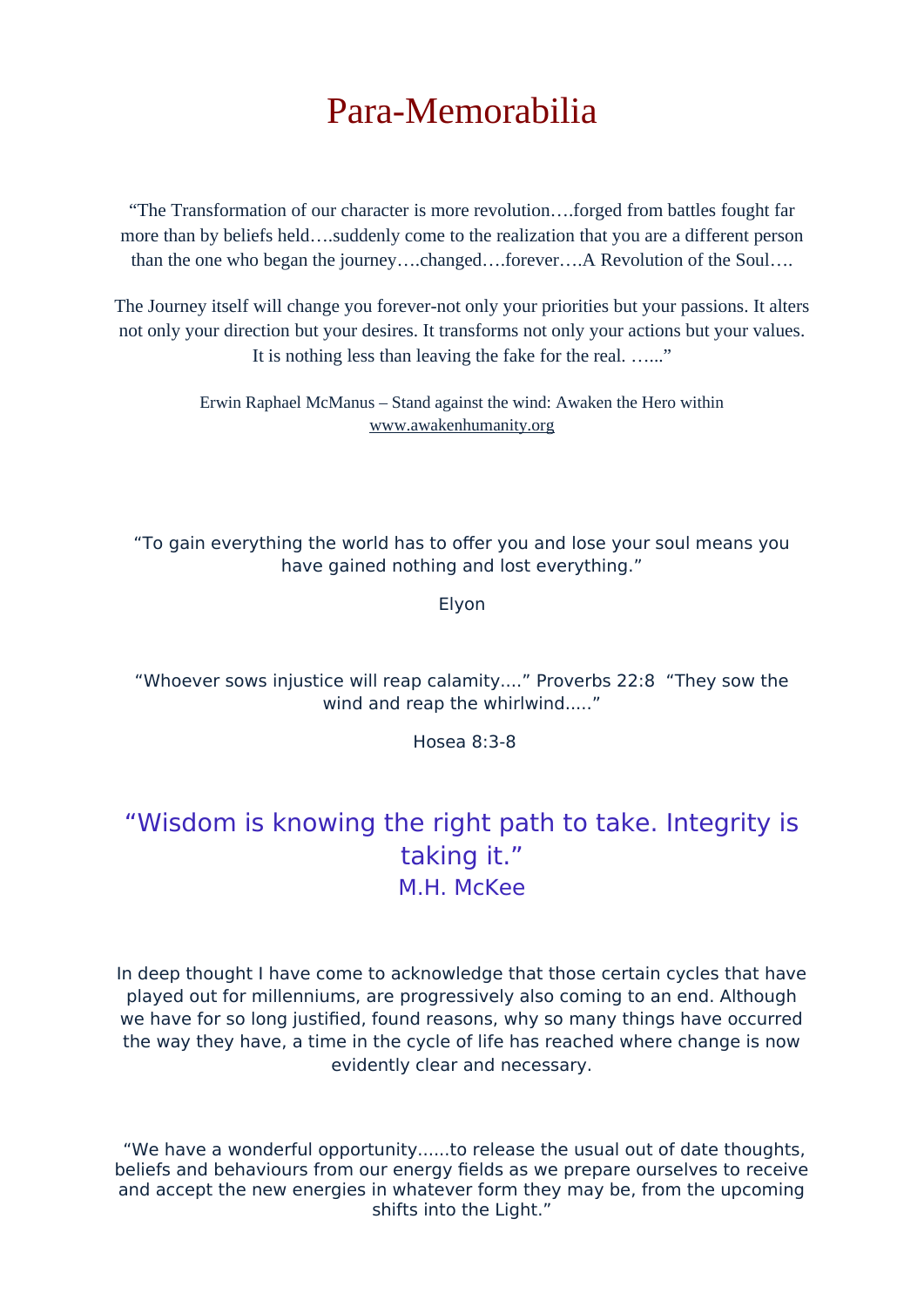# Para-Memorabilia

"The Transformation of our character is more revolution….forged from battles fought far more than by beliefs held….suddenly come to the realization that you are a different person than the one who began the journey….changed….forever….A Revolution of the Soul….

The Journey itself will change you forever-not only your priorities but your passions. It alters not only your direction but your desires. It transforms not only your actions but your values. It is nothing less than leaving the fake for the real. …..."

> Erwin Raphael McManus – Stand against the wind: Awaken the Hero within [www.awakenhumanity.org](http://www.awakenhumanity.org/)

"To gain everything the world has to offer you and lose your soul means you have gained nothing and lost everything."

Elyon

"Whoever sows injustice will reap calamity...." Proverbs 22:8 "They sow the wind and reap the whirlwind....."

Hosea 8:3-8

# "Wisdom is knowing the right path to take. Integrity is taking it." M.H. McKee

In deep thought I have come to acknowledge that those certain cycles that have played out for millenniums, are progressively also coming to an end. Although we have for so long justified, found reasons, why so many things have occurred the way they have, a time in the cycle of life has reached where change is now evidently clear and necessary.

"We have a wonderful opportunity......to release the usual out of date thoughts, beliefs and behaviours from our energy fields as we prepare ourselves to receive and accept the new energies in whatever form they may be, from the upcoming shifts into the Light."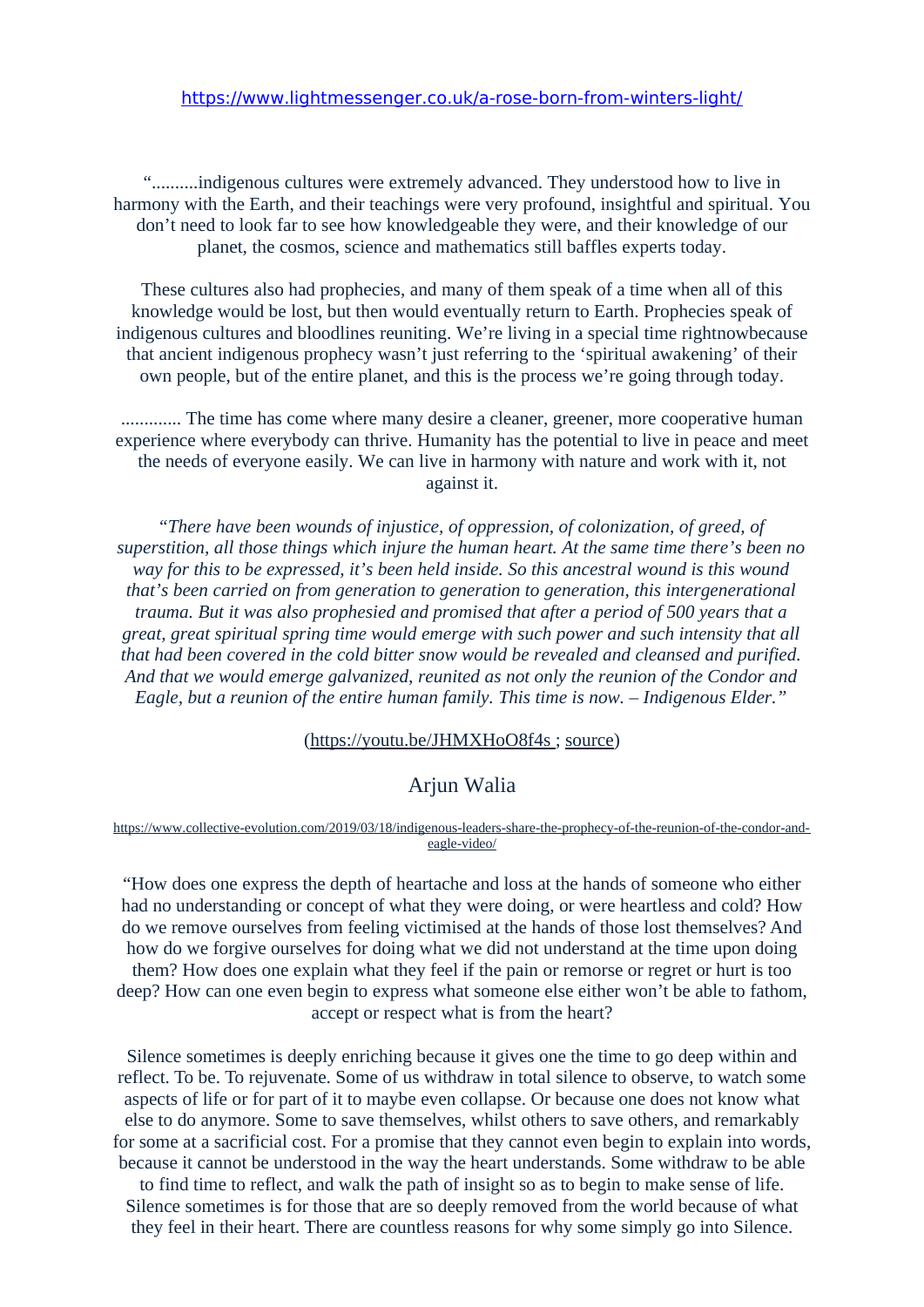"..........indigenous cultures were extremely advanced. They understood how to live in harmony with the Earth, and their teachings were very profound, insightful and spiritual. You don't need to look far to see how knowledgeable they were, and their knowledge of our planet, the cosmos, science and mathematics still baffles experts today.

These cultures also had prophecies, and many of them speak of a time when all of this knowledge would be lost, but then would eventually return to Earth. Prophecies speak of indigenous cultures and bloodlines reuniting. We're living in a special time rightnowbecause that ancient indigenous prophecy wasn't just referring to the 'spiritual awakening' of their own people, but of the entire planet, and this is the process we're going through today.

............. The time has come where many desire a cleaner, greener, more cooperative human experience where everybody can thrive. Humanity has the potential to live in peace and meet the needs of everyone easily. We can live in harmony with nature and work with it, not against it.

*"There have been wounds of injustice, of oppression, of colonization, of greed, of superstition, all those things which injure the human heart. At the same time there's been no way for this to be expressed, it's been held inside. So this ancestral wound is this wound that's been carried on from generation to generation to generation, this intergenerational trauma. But it was also prophesied and promised that after a period of 500 years that a great, great spiritual spring time would emerge with such power and such intensity that all that had been covered in the cold bitter snow would be revealed and cleansed and purified. And that we would emerge galvanized, reunited as not only the reunion of the Condor and Eagle, but a reunion of the entire human family. This time is now. – Indigenous Elder."*

#### [\(https://youtu.be/JHMXHoO8f4s ;](https://youtu.be/JHMXHoO8f4s) [source\)](https://www.youtube.com/watch?v=JHMXHoO8f4s&feature=youtu.be)

## Arjun Walia

[https://www.collective-evolution.com/2019/03/18/indigenous-leaders-share-the-prophecy-of-the-reunion-of-the-condor-and](https://www.collective-evolution.com/2019/03/18/indigenous-leaders-share-the-prophecy-of-the-reunion-of-the-condor-and-eagle-video/)[eagle-video/](https://www.collective-evolution.com/2019/03/18/indigenous-leaders-share-the-prophecy-of-the-reunion-of-the-condor-and-eagle-video/)

"How does one express the depth of heartache and loss at the hands of someone who either had no understanding or concept of what they were doing, or were heartless and cold? How do we remove ourselves from feeling victimised at the hands of those lost themselves? And how do we forgive ourselves for doing what we did not understand at the time upon doing them? How does one explain what they feel if the pain or remorse or regret or hurt is too deep? How can one even begin to express what someone else either won't be able to fathom, accept or respect what is from the heart?

Silence sometimes is deeply enriching because it gives one the time to go deep within and reflect. To be. To rejuvenate. Some of us withdraw in total silence to observe, to watch some aspects of life or for part of it to maybe even collapse. Or because one does not know what else to do anymore. Some to save themselves, whilst others to save others, and remarkably for some at a sacrificial cost. For a promise that they cannot even begin to explain into words, because it cannot be understood in the way the heart understands. Some withdraw to be able

to find time to reflect, and walk the path of insight so as to begin to make sense of life. Silence sometimes is for those that are so deeply removed from the world because of what they feel in their heart. There are countless reasons for why some simply go into Silence.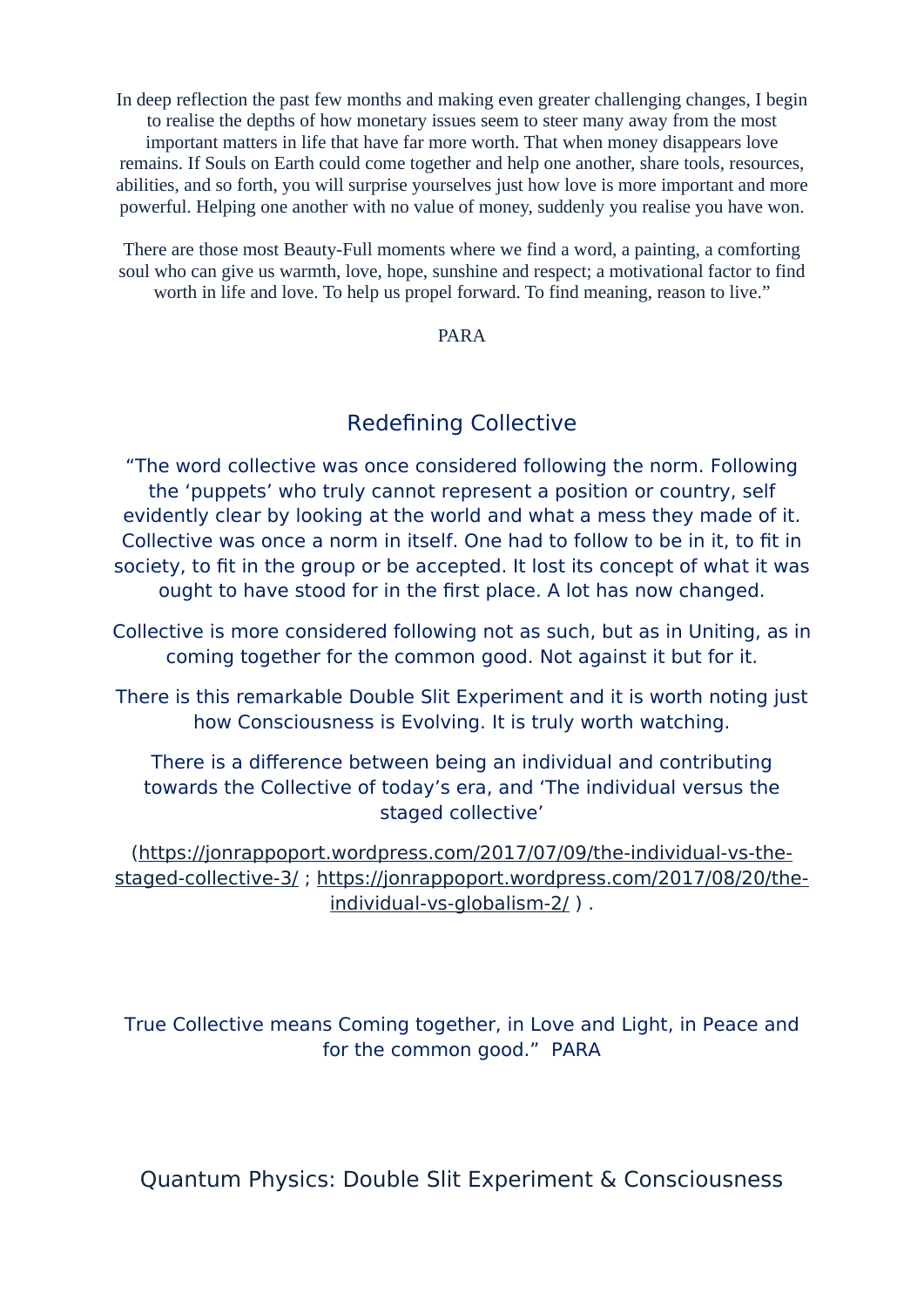In deep reflection the past few months and making even greater challenging changes, I begin to realise the depths of how monetary issues seem to steer many away from the most important matters in life that have far more worth. That when money disappears love remains. If Souls on Earth could come together and help one another, share tools, resources, abilities, and so forth, you will surprise yourselves just how love is more important and more powerful. Helping one another with no value of money, suddenly you realise you have won.

There are those most Beauty-Full moments where we find a word, a painting, a comforting soul who can give us warmth, love, hope, sunshine and respect; a motivational factor to find worth in life and love. To help us propel forward. To find meaning, reason to live."

#### PARA

# Redefning Collective

"The word collective was once considered following the norm. Following the 'puppets' who truly cannot represent a position or country, self evidently clear by looking at the world and what a mess they made of it. Collective was once a norm in itself. One had to follow to be in it, to fit in society, to fit in the group or be accepted. It lost its concept of what it was ought to have stood for in the first place. A lot has now changed.

Collective is more considered following not as such, but as in Uniting, as in coming together for the common good. Not against it but for it.

There is this remarkable Double Slit Experiment and it is worth noting just how Consciousness is Evolving. It is truly worth watching.

There is a difference between being an individual and contributing towards the Collective of today's era, and 'The individual versus the staged collective'

(https://jonrappoport.wordpress.com/2017/07/09/the-individual-vs-thestaged-collective-3/; https://jonrappoport.wordpress.com/2017/08/20/the $individual-vs-globalism-2/$  ).

True Collective means Coming together, in Love and Light, in Peace and for the common good." PARA

Quantum Physics: Double Slit Experiment & Consciousness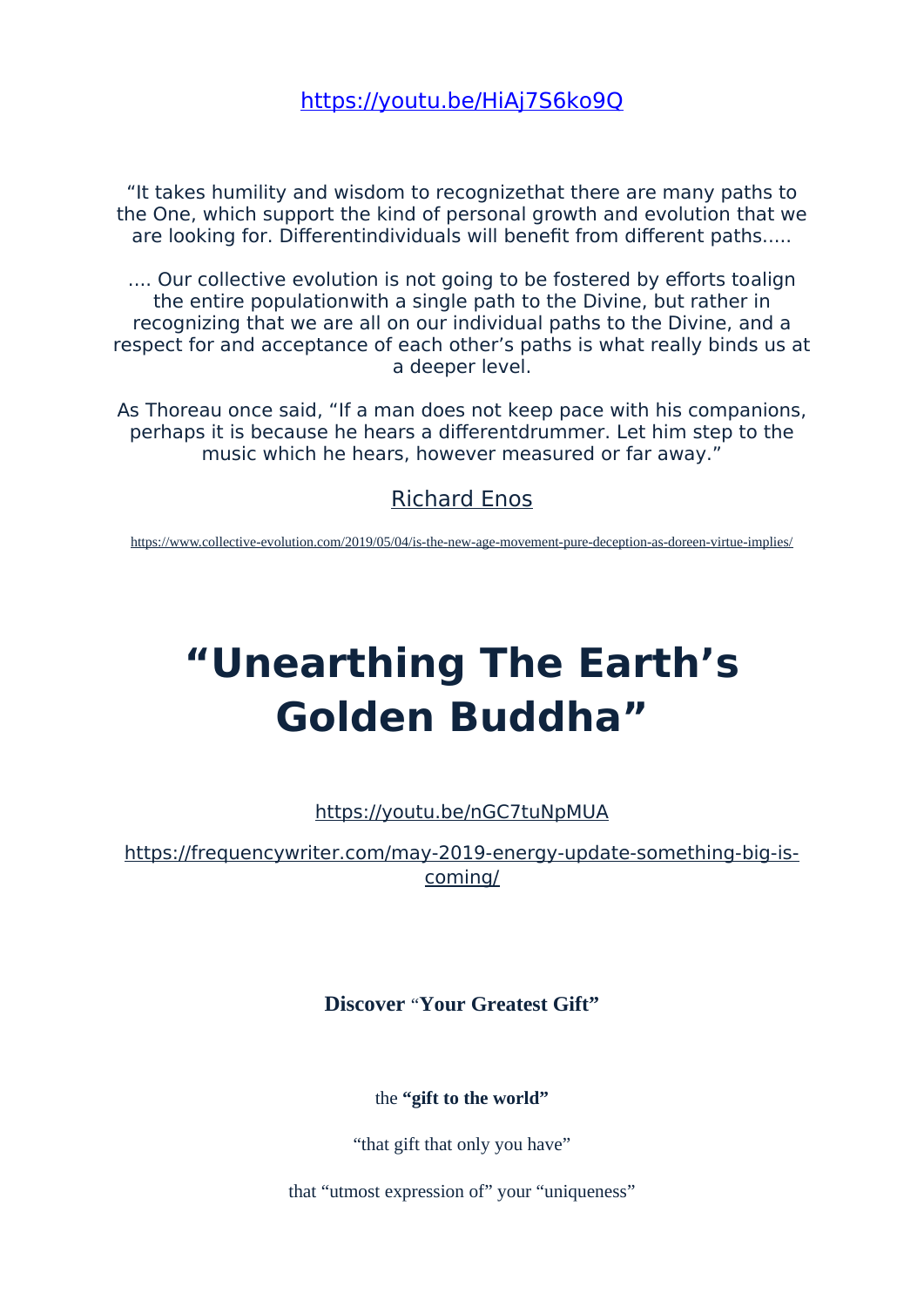# https://voutu.be/HiAj7S6ko9O

"It takes humility and wisdom to recognizethat there are many paths to the One, which support the kind of personal growth and evolution that we are looking for. Differentindividuals will benefit from different paths.....

.... Our collective evolution is not going to be fostered by efforts toalign the entire population with a single path to the Divine, but rather in recognizing that we are all on our individual paths to the Divine, and a respect for and acceptance of each other's paths is what really binds us at a deeper level.

As Thoreau once said, "If a man does not keep pace with his companions, perhaps it is because he hears a differentdrummer. Let him step to the music which he hears, however measured or far away."

# **Richard Enos**

https://www.collective-evolution.com/2019/05/04/is-the-new-age-movement-pure-deception-as-doreen-virtue-implies/

# "Unearthing The Earth's Golden Buddha"

https://voutu.be/nGC7tuNpMUA

https://frequencywriter.com/may-2019-energy-update-something-big-iscomina/

Discover "Your Greatest Gift"

the "gift to the world"

"that gift that only you have"

that "utmost expression of" your "uniqueness"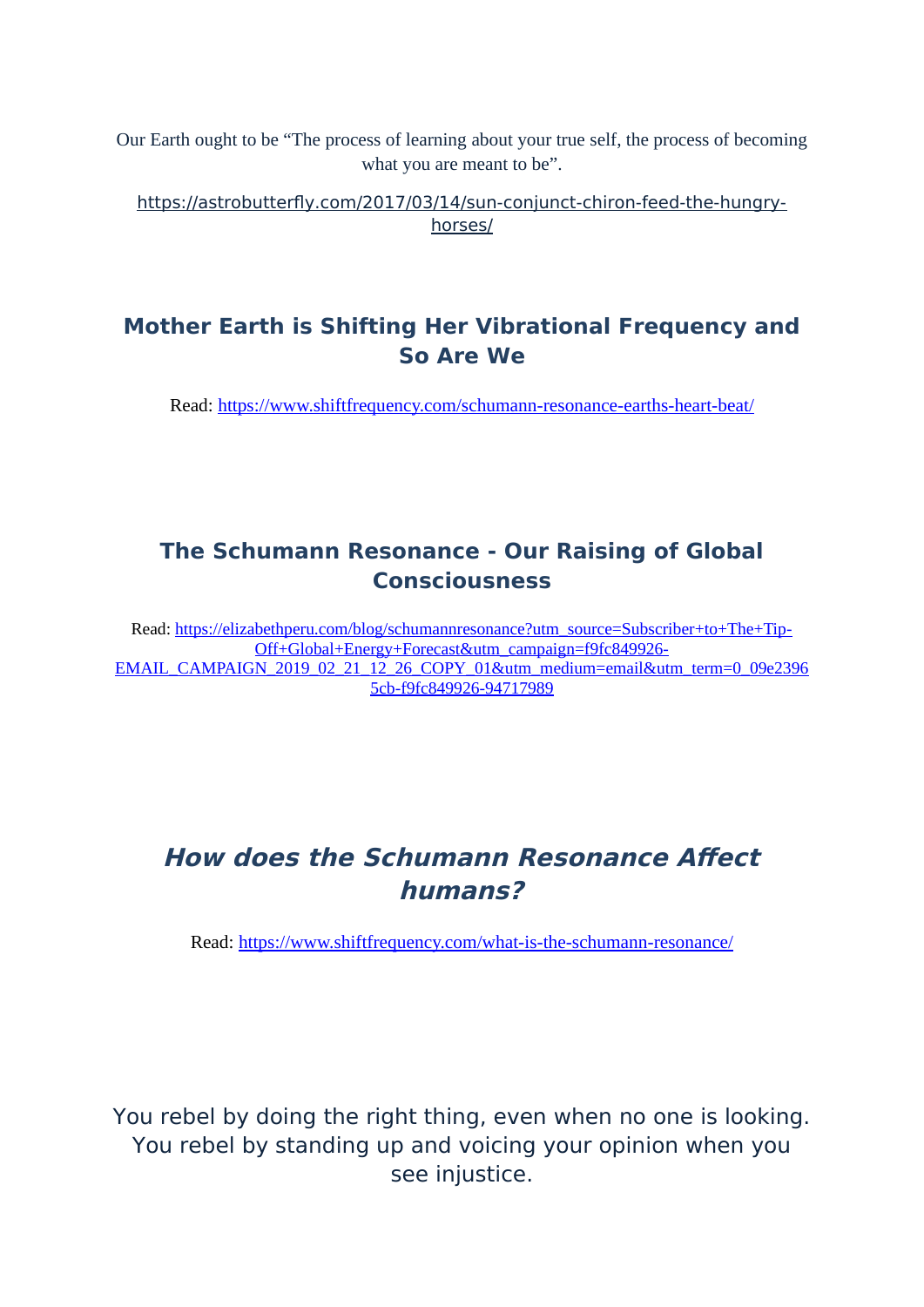Our Earth ought to be "The process of learning about your true self, the process of becoming what you are meant to be".

https://astrobutterfly.com/2017/03/14/sun-conjunct-chiron-feed-the-hungry[horses/](https://astrobutterfly.com/2017/03/14/sun-conjunct-chiron-feed-the-hungry-horses/)

# **Mother Earth is Shifting Her Vibrational Frequency and So Are We**

Read:<https://www.shiftfrequency.com/schumann-resonance-earths-heart-beat/>

# **The Schumann Resonance - Our Raising of Global Consciousness**

Read: [https://elizabethperu.com/blog/schumannresonance?utm\\_source=Subscriber+to+The+Tip-](https://elizabethperu.com/blog/schumannresonance?utm_source=Subscriber+to+The+Tip-Off+Global+Energy+Forecast&utm_campaign=f9fc849926-EMAIL_CAMPAIGN_2019_02_21_12_26_COPY_01&utm_medium=email&utm_term=0_09e23965cb-f9fc849926-94717989)Off+Global+Energy+Forecast&utm\_campaign=f9fc849926- [EMAIL\\_CAMPAIGN\\_2019\\_02\\_21\\_12\\_26\\_COPY\\_01&utm\\_medium=email&utm\\_term=0\\_09e2396](https://elizabethperu.com/blog/schumannresonance?utm_source=Subscriber+to+The+Tip-Off+Global+Energy+Forecast&utm_campaign=f9fc849926-EMAIL_CAMPAIGN_2019_02_21_12_26_COPY_01&utm_medium=email&utm_term=0_09e23965cb-f9fc849926-94717989) [5cb-f9fc849926-94717989](https://elizabethperu.com/blog/schumannresonance?utm_source=Subscriber+to+The+Tip-Off+Global+Energy+Forecast&utm_campaign=f9fc849926-EMAIL_CAMPAIGN_2019_02_21_12_26_COPY_01&utm_medium=email&utm_term=0_09e23965cb-f9fc849926-94717989)

# **How does the Schumann Resonance Afect humans?**

Read:<https://www.shiftfrequency.com/what-is-the-schumann-resonance/>

You rebel by doing the right thing, even when no one is looking. You rebel by standing up and voicing your opinion when you see injustice.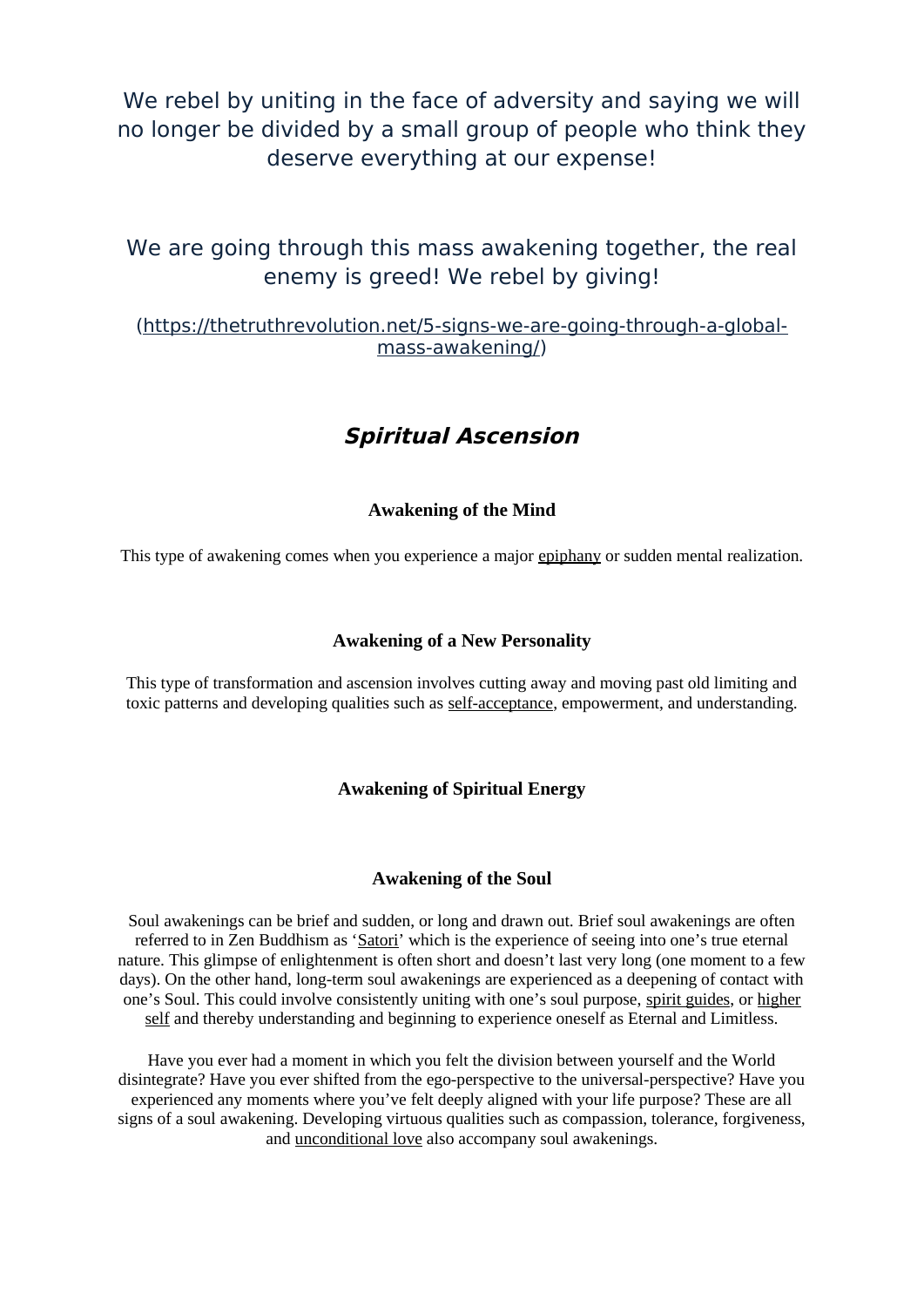We rebel by uniting in the face of adversity and saying we will no longer be divided by a small group of people who think they deserve everything at our expense!

We are going through this mass awakening together, the real enemy is greed! We rebel by giving!

## (https://thetruthrevolution.net/5-signs-we-are-going-through-a-globalmass-awakening/)

# **Spiritual Ascension**

## **Awakening of the Mind**

This type of awakening comes when you experience a major [epiphany](https://lonerwolf.com/breathtaking-epiphanies/) or sudden mental realization.

#### **Awakening of a New Personality**

This type of transformation and ascension involves cutting away and moving past old limiting and toxic patterns and developing qualities such as [self-acceptance,](https://lonerwolf.com/tag/self-acceptance/) empowerment, and understanding.

## **Awakening of Spiritual Energy**

#### **Awakening of the Soul**

Soul awakenings can be brief and sudden, or long and drawn out. Brief soul awakenings are often referred to in Zen Buddhism as ['Satori'](http://www.zen-buddhism.net/zen-concepts/satori.html) which is the experience of seeing into one's true eternal nature. This glimpse of enlightenment is often short and doesn't last very long (one moment to a few days). On the other hand, long-term soul awakenings are experienced as a deepening of contact with one's Soul. This could involve consistently uniting with one's soul purpose, [spirit guides,](https://lonerwolf.com/connect-with-spirit-guides/) or [higher](https://lonerwolf.com/higher-self/) [self](https://lonerwolf.com/higher-self/) and thereby understanding and beginning to experience oneself as Eternal and Limitless.

Have you ever had a moment in which you felt the division between yourself and the World disintegrate? Have you ever shifted from the ego-perspective to the universal-perspective? Have you experienced any moments where you've felt deeply aligned with your life purpose? These are all signs of a soul awakening. Developing virtuous qualities such as compassion, tolerance, forgiveness, and [unconditional love](https://lonerwolf.com/what-is-unconditional-love/) also accompany soul awakenings.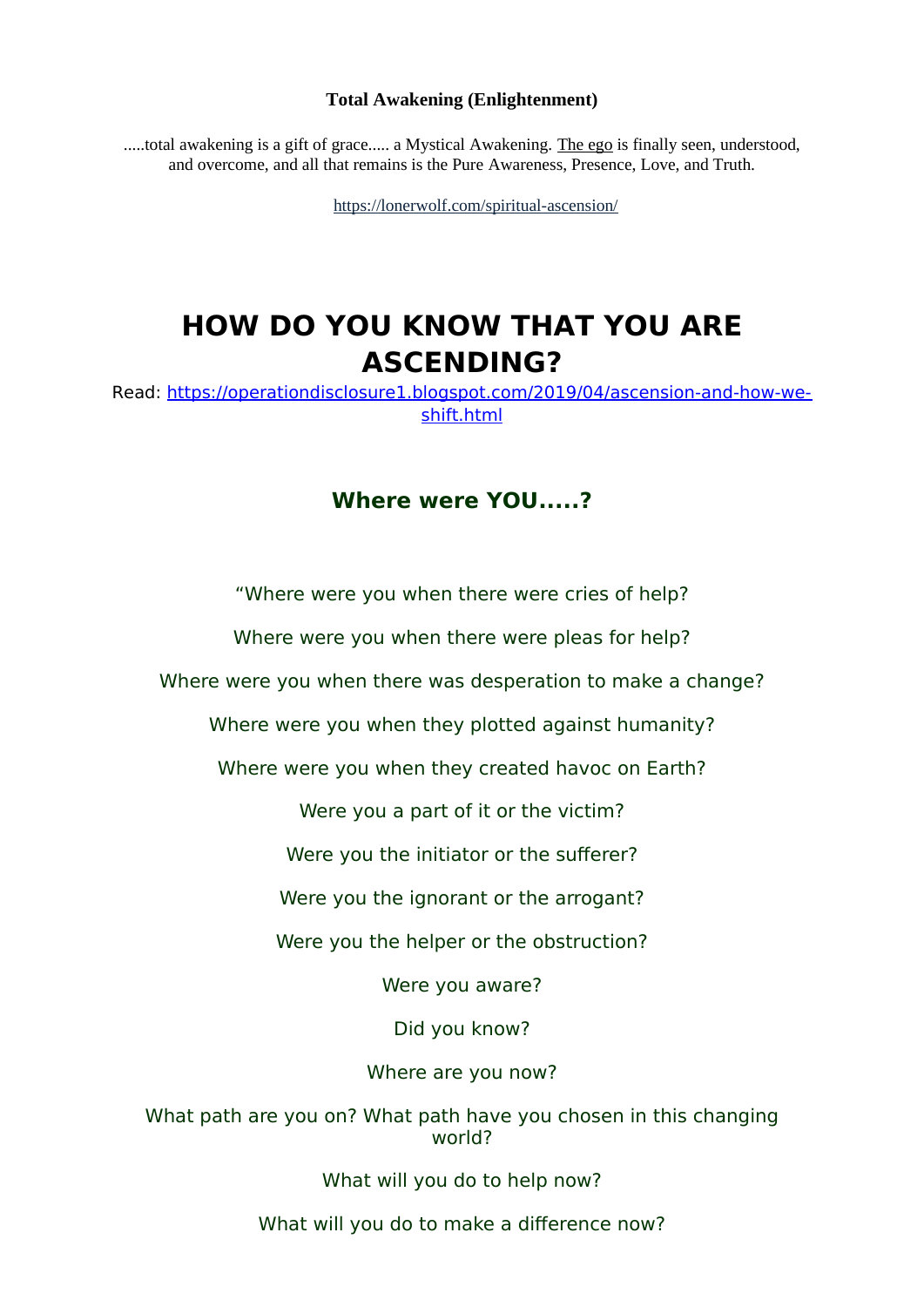#### **Total Awakening (Enlightenment)**

.....total awakening is a gift of grace..... a Mystical Awakening. [The ego](https://lonerwolf.com/what-is-the-ego/) is finally seen, understood, and overcome, and all that remains is the Pure Awareness, Presence, Love, and Truth.

<https://lonerwolf.com/spiritual-ascension/>

# **HOW DO YOU KNOW THAT YOU ARE ASCENDING?**

Read: https://operationdisclosure1.blogspot.com/2019/04/ascension-and-how-weshift.html

# **Where were YOU.....?**

"Where were you when there were cries of help?

Where were you when there were pleas for help?

Where were you when there was desperation to make a change?

Where were you when they plotted against humanity?

Where were you when they created havoc on Earth?

Were you a part of it or the victim?

Were you the initiator or the sufferer?

Were you the ignorant or the arrogant?

Were you the helper or the obstruction?

Were you aware?

Did you know?

Where are you now?

What path are you on? What path have you chosen in this changing world?

What will you do to help now?

What will you do to make a difference now?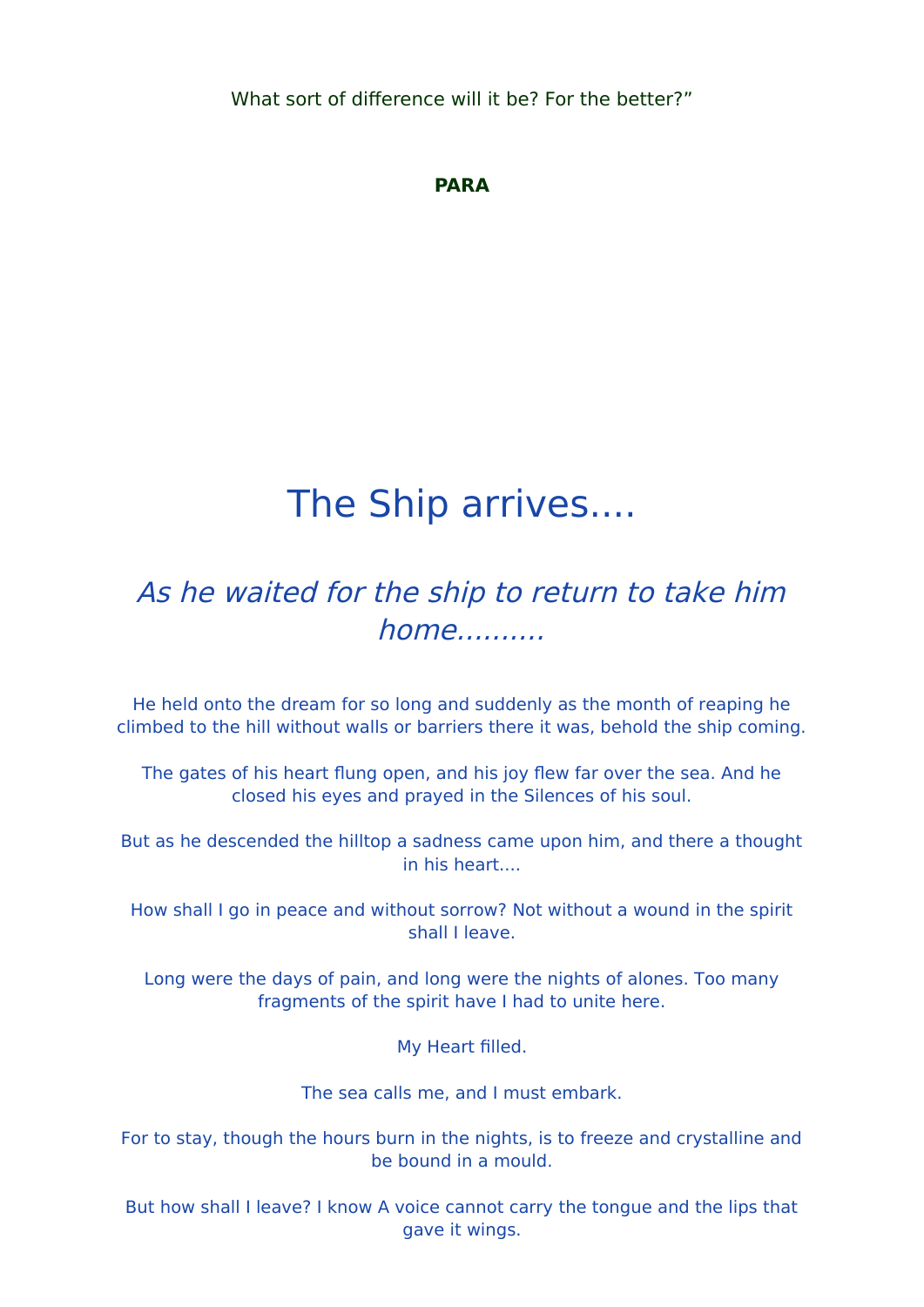What sort of diference will it be? For the better?"

# **PARA**

# The Ship arrives....

# As he waited for the ship to return to take him  $home...$

He held onto the dream for so long and suddenly as the month of reaping he climbed to the hill without walls or barriers there it was, behold the ship coming.

The gates of his heart flung open, and his joy flew far over the sea. And he closed his eyes and prayed in the Silences of his sool.

But as he descended the hilltop a sadness came upon him, and there a thought in his heart....

How shall I go in peace and without sorrow? Not without a wound in the spirit shall I leave.

Long were the days of pain, and long were the nights of alones. Too many fragments of the spirit have I had to unite here.

My Heart flled.

The sea calls me, and I must embark.

For to stay, though the hours burn in the nights, is to freeze and crystalline and be bound in a mould.

But how shall I leave? I know A voice cannot carry the tongue and the lips that gave it wings.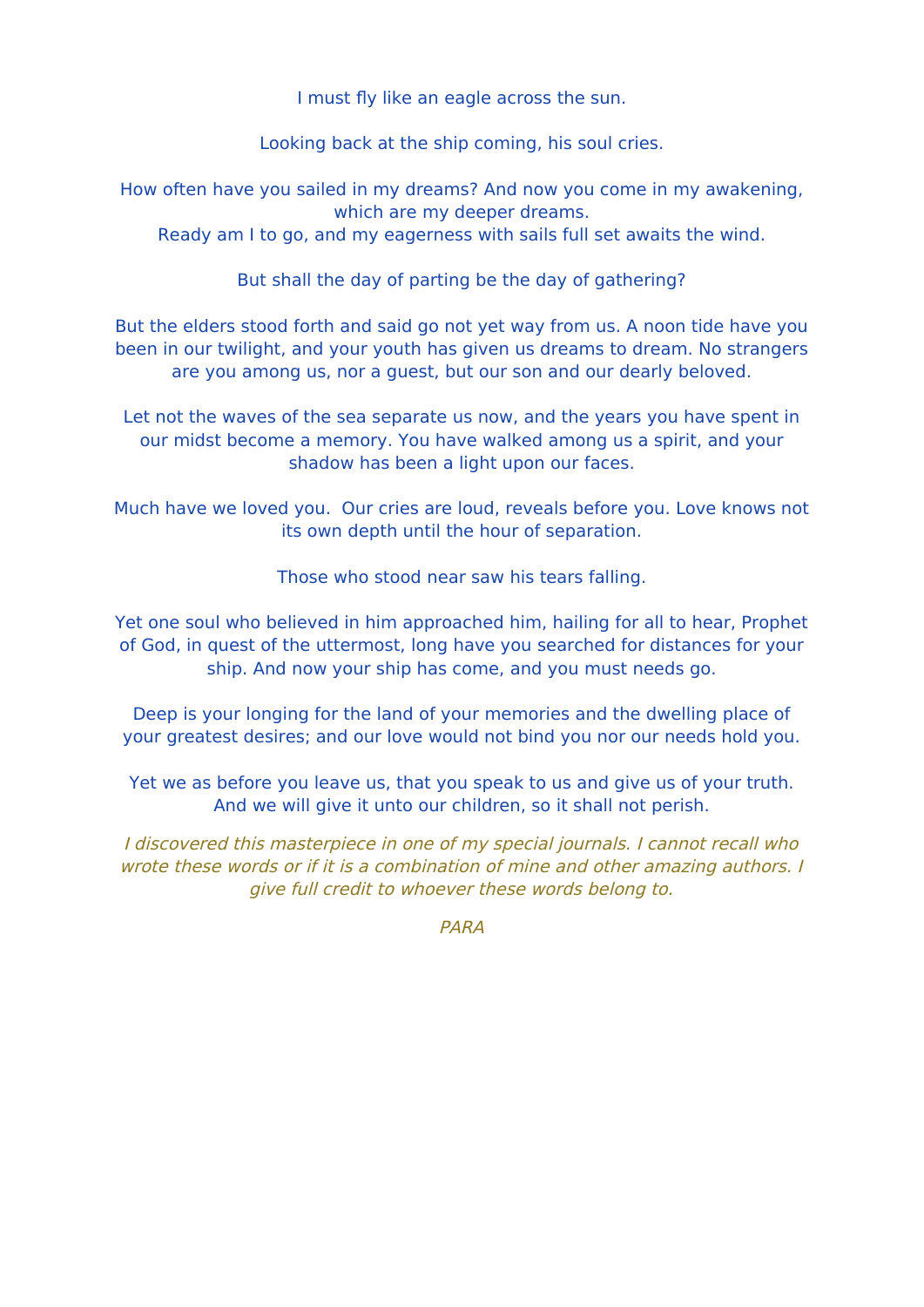I must fly like an eagle across the sun.

Looking back at the ship coming, his soul cries.

How often have you sailed in my dreams? And now you come in my awakening, which are my deeper dreams.

Ready am I to go, and my eagerness with sails full set awaits the wind.

But shall the day of parting be the day of gathering?

But the elders stood forth and said go not yet way from us. A noon tide have you been in our twilight, and your youth has given us dreams to dream. No strangers are you among us, nor a guest, but our son and our dearly beloved.

Let not the waves of the sea separate us now, and the years you have spent in our midst become a memory. You have walked among us a spirit, and your shadow has been a light upon our faces.

Much have we loved you. Our cries are loud, reveals before you. Love knows not its own depth until the hour of separation.

Those who stood near saw his tears falling.

Yet one soul who believed in him approached him, hailing for all to hear, Prophet of God, in quest of the uttermost, long have you searched for distances for your ship. And now your ship has come, and you must needs go.

Deep is your longing for the land of your memories and the dwelling place of your greatest desires; and our love would not bind you nor our needs hold you.

Yet we as before you leave us, that you speak to us and give us of your truth. And we will give it unto our children, so it shall not perish.

I discovered this masterpiece in one of my special journals. I cannot recall who wrote these words or if it is a combination of mine and other amazing authors. I give full credit to whoever these words belong to.

PARA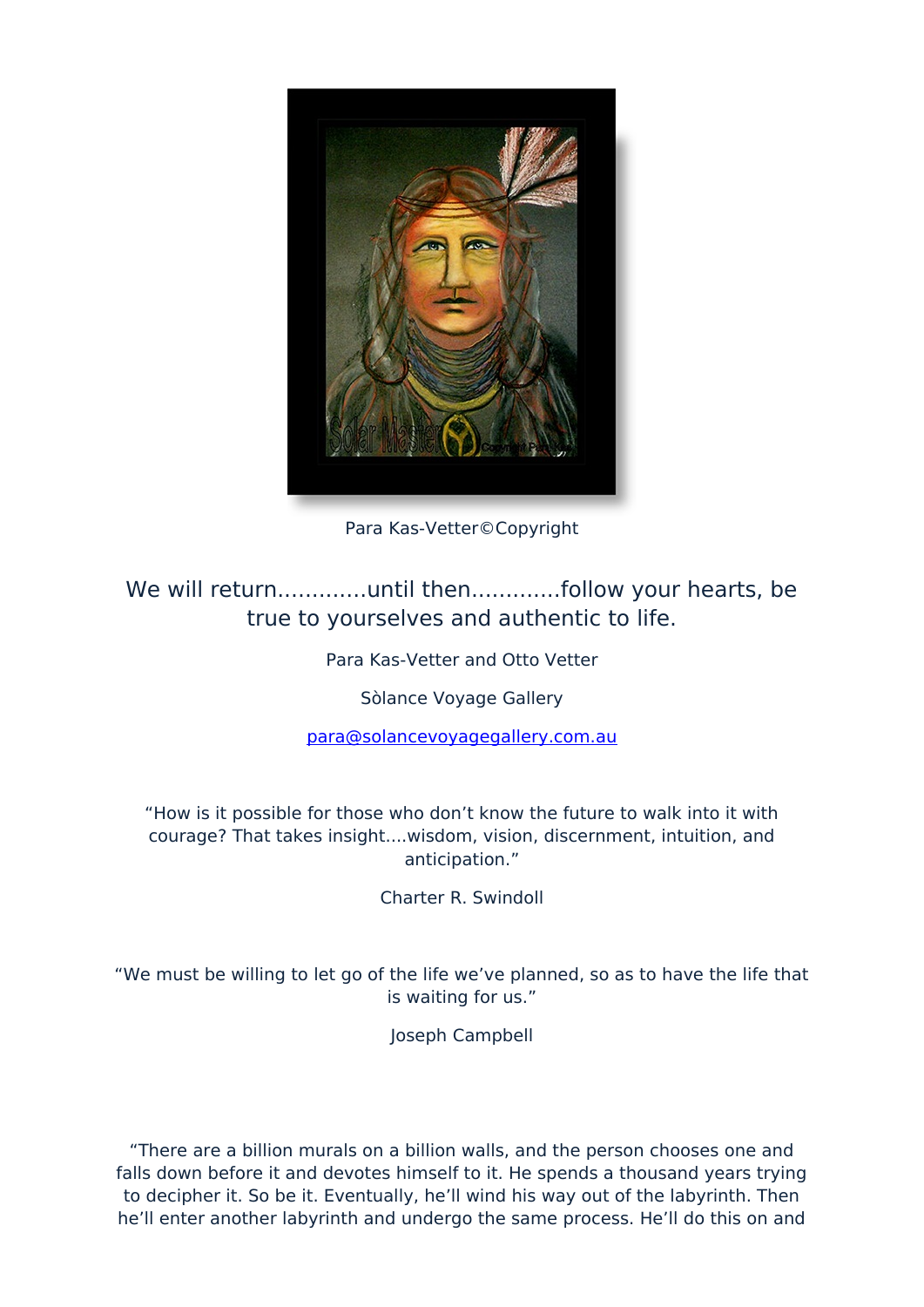

Para Kas-Vetter©Copyright

true to yourselves and authentic to life.

Para Kas-Vetter and Otto Vetter

Sòlance Voyage Gallery

para@solancevoyagegallery.com.au

"How is it possible for those who don't know the future to walk into it with courage? That takes insight....wisdom, vision, discernment, intuition, and anticipation."

Charter R. Swindoll

"We must be willing to let go of the life we've planned, so as to have the life that is waiting for us."

Joseph Campbell

"There are a billion murals on a billion walls, and the person chooses one and falls down before it and devotes himself to it. He spends a thousand years trying to decipher it. So be it. Eventually, he'll wind his way out of the labyrinth. Then he'll enter another labyrinth and undergo the same process. He'll do this on and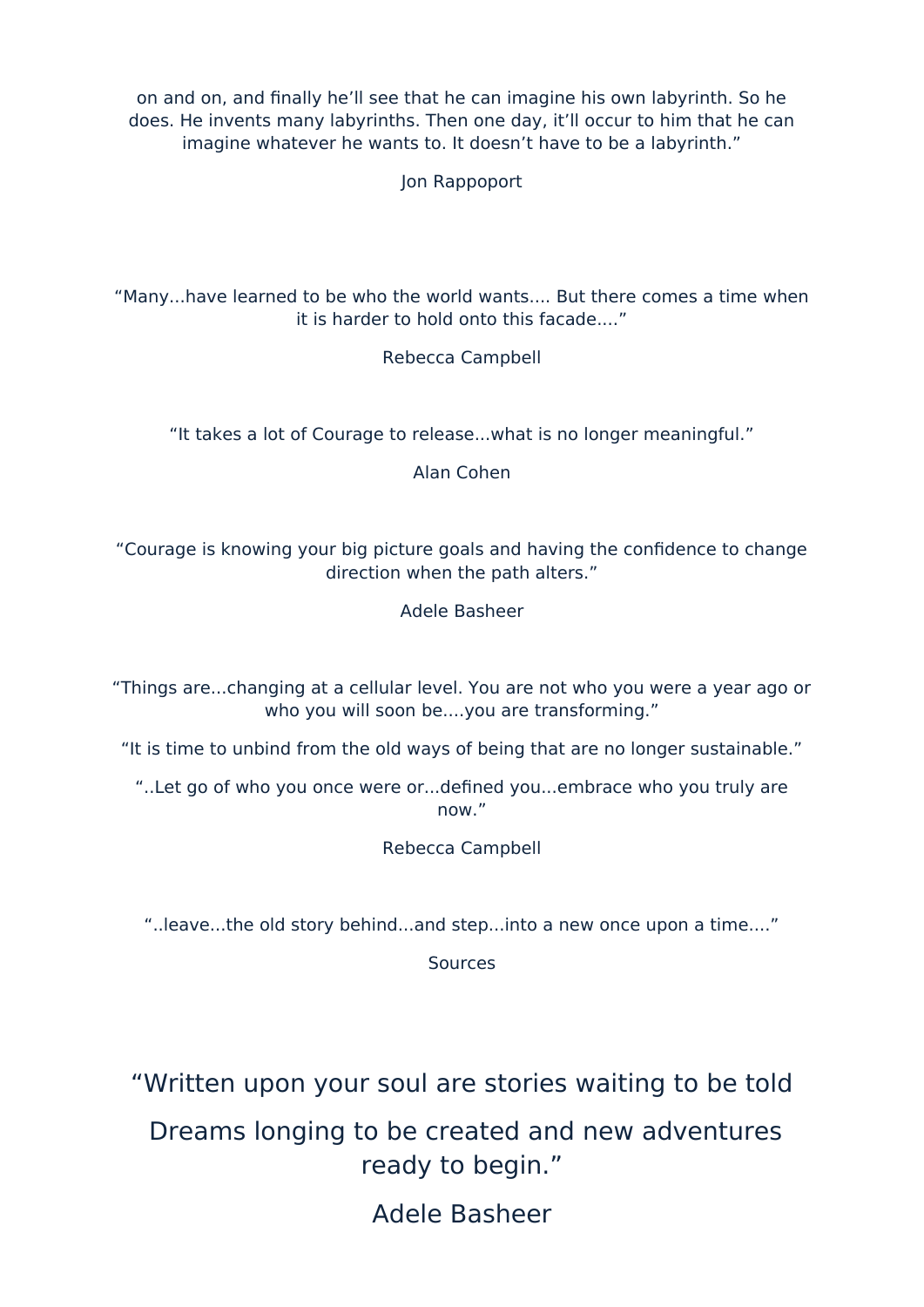on and on, and finally he'll see that he can imagine his own labyrinth. So he does. He invents many labyrinths. Then one day, it'll occur to him that he can imagine whatever he wants to. It doesn't have to be a labyrinth."

Jon Rappoport

"Many...have learned to be who the world wants.... But there comes a time when it is harder to hold onto this facade...."

Rebecca Campbell

"It takes a lot of Courage to release...what is no longer meaningful."

Alan Cohen

"Courage is knowing your big picture goals and having the confidence to change direction when the path alters."

Adele Basheer

"Things are...changing at a cellolar level. Yoo are not who yoo were a year ago or who you will soon be....you are transforming."

"It is time to unbind from the old ways of being that are no longer sustainable."

"..Let go of who you once were or...defined you...embrace who you truly are now."

Rebecca Campbell

"... leave... the old story behind... and step... into a new once upon a time...."

**Sources** 

"Written upon your soul are stories waiting to be told

Dreams longing to be created and new adventures ready to begin."

Adele Basheer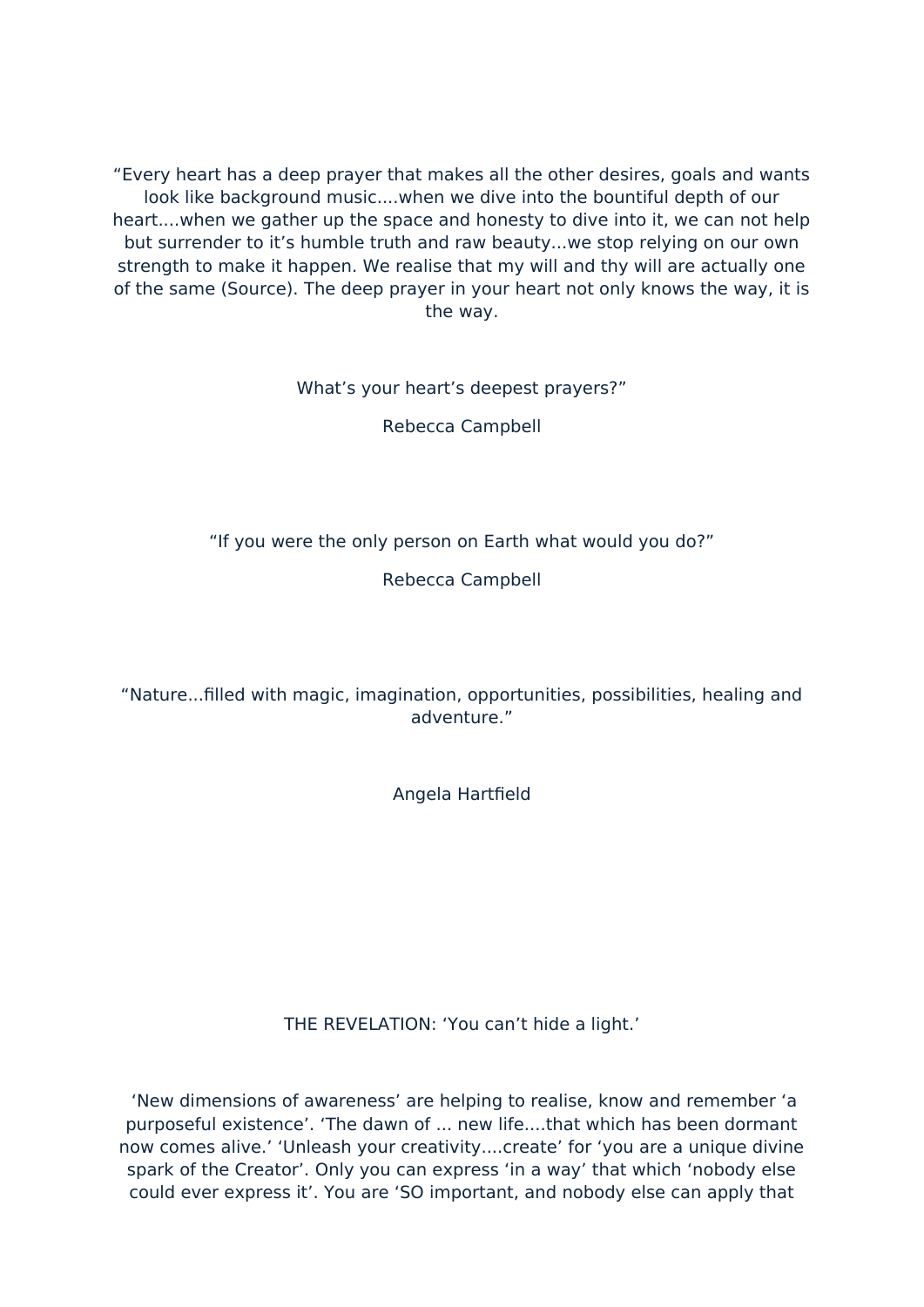"Every heart has a deep prayer that makes all the other desires, goals and wants look like background music....when we dive into the bountiful depth of our heart....when we gather up the space and honesty to dive into it, we can not help but surrender to it's humble truth and raw beauty...we stop relying on our own strength to make it happen. We realise that my will and thy will are actually one of the same (Source). The deep prayer in your heart not only knows the way, it is the way.

What's your heart's deepest prayers?"

Rebecca Campbell

"If you were the only person on Earth what would you do?"

Rebecca Campbell

"Nature...filled with magic, imagination, opportunities, possibilities, healing and adventure."

Angela Hartfield

THE REVELATION: 'You can't hide a light.'

'New dimensions of awareness' are helping to realise, know and remember 'a purposeful existence'. 'The dawn of ... new life....that which has been dormant now comes alive.' 'Unleash your creativity....create' for 'you are a unique divine spark of the Creator'. Only you can express 'in a way' that which 'nobody else could ever express it'. You are 'SO important, and nobody else can apply that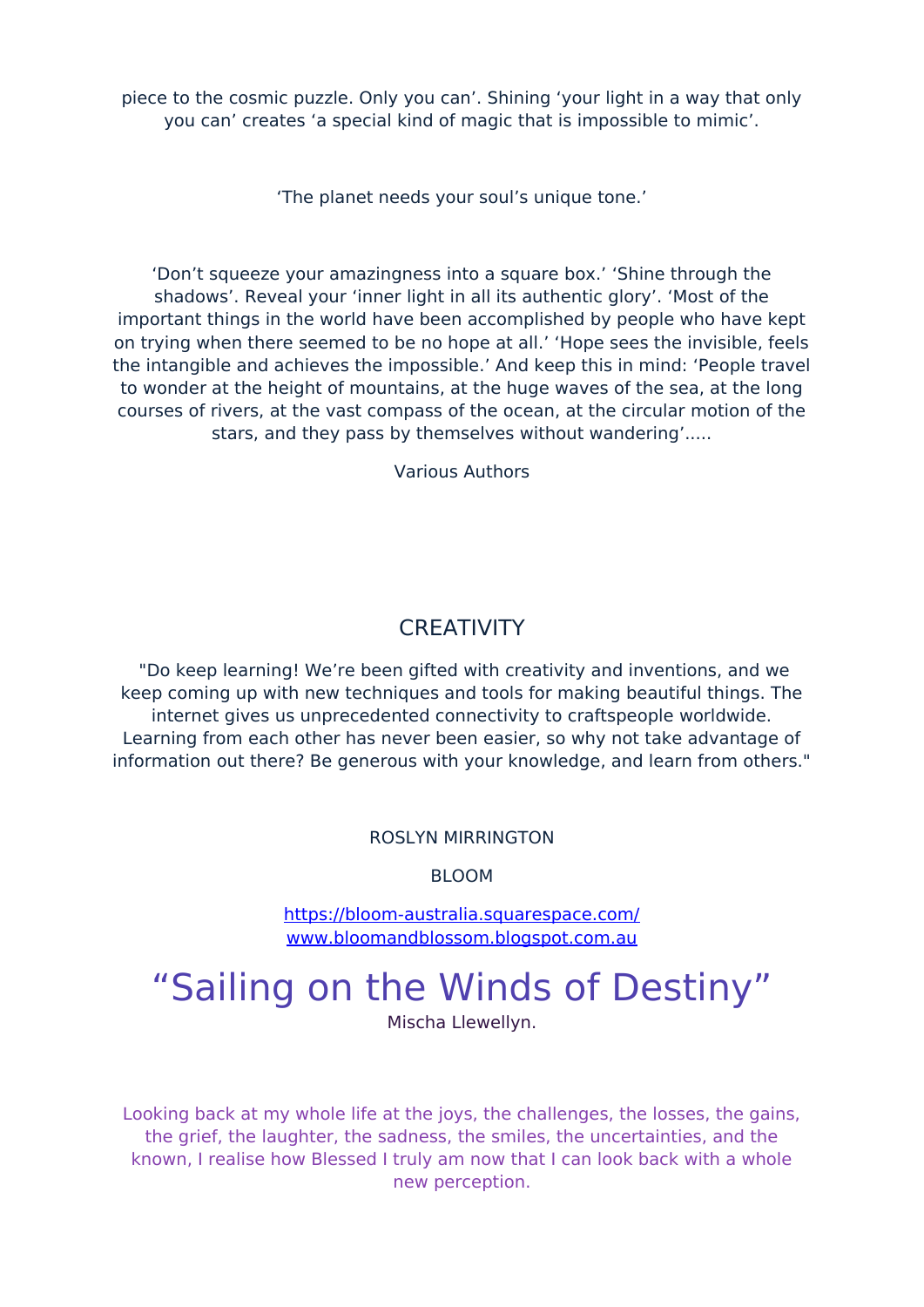piece to the cosmic puzzle. Only you can'. Shining 'your light in a way that only you can' creates 'a special kind of magic that is impossible to mimic'.

'The planet needs your soul's unique tone.'

'Don't squeeze your amazingness into a square box.' 'Shine through the shadows'. Reveal your 'inner light in all its authentic glory'. 'Most of the important things in the world have been accomplished by people who have kept on trying when there seemed to be no hope at all.' 'Hope sees the invisible, feels the intangible and achieves the impossible.' And keep this in mind: 'People travel to wonder at the height of mountains, at the huge waves of the sea, at the long courses of rivers, at the vast compass of the ocean, at the circular motion of the stars, and they pass by themselves without wandering'.....

Various Authors

# **CREATIVITY**

"Do keep learning! We're been gifted with creativity and inventions, and we keep coming up with new techniques and tools for making beautiful things. The internet gives us unprecedented connectivity to craftspeople worldwide. Learning from each other has never been easier, so why not take advantage of information out there? Be generous with your knowledge, and learn from others."

# ROSLYN MIRRINGTON

BLOOM

https://bloom-australia.squarespace.com/ www.bloomandblossom.blogspot.com.au

# "Sailing on the Winds of Destiny"

Mischa Llewellyn.

Looking back at my whole life at the joys, the challenges, the losses, the gains, the grief, the laughter, the sadness, the smiles, the uncertainties, and the known, I realise how Blessed I truly am now that I can look back with a whole new perception.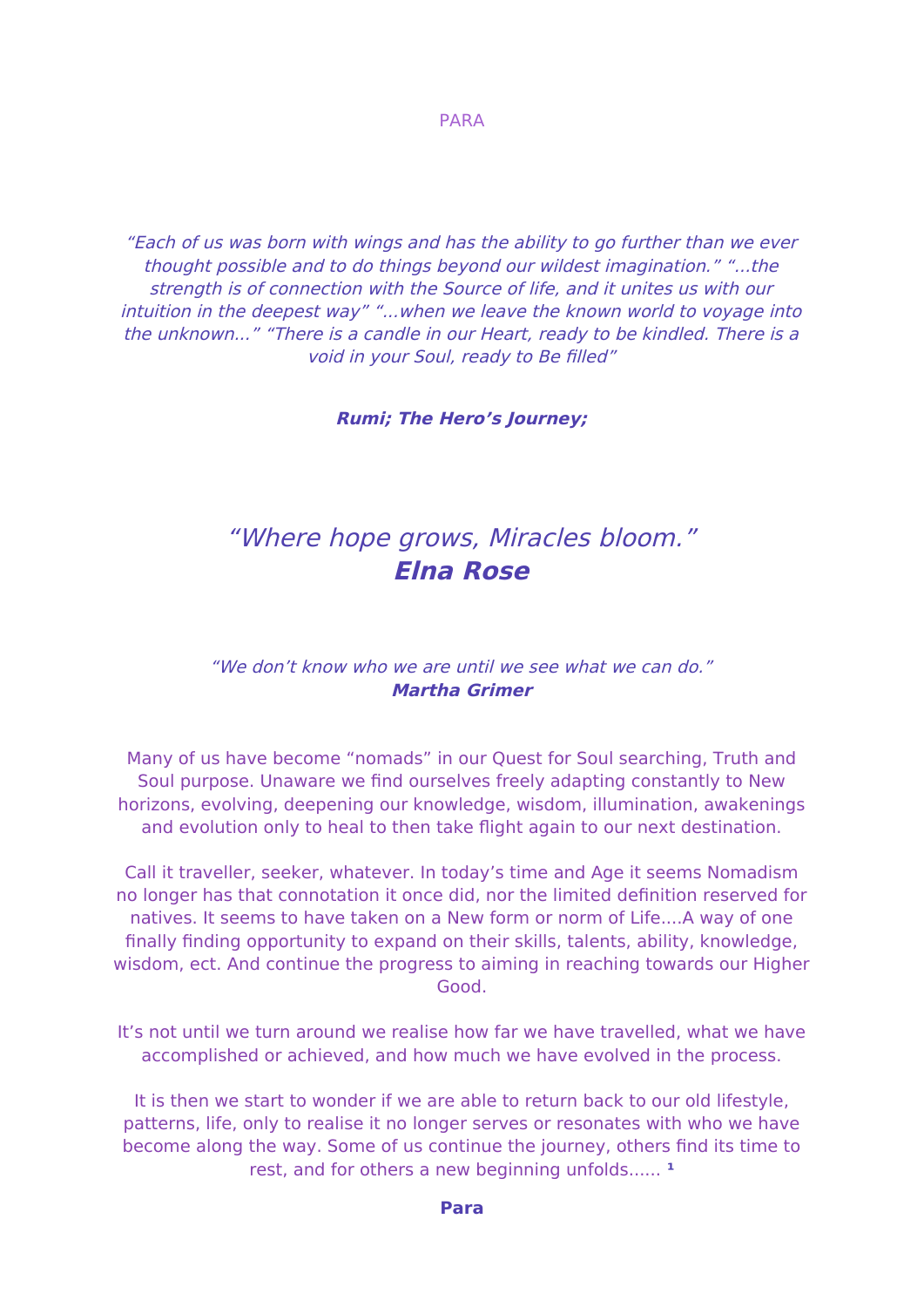PARA

"Each of us was born with wings and has the ability to go further than we ever thought possible and to do things beyond our wildest imagination." "...the strength is of connection with the Source of life, and it unites us with our intuition in the deepest way" "...when we leave the known world to voyage into the unknown..." "There is a candle in our Heart, ready to be kindled. There is a void in your Soul, ready to Be filled"

**Rumi; The Hero's Journey;**

# "Where hope grows, Miracles bloom." **Elna Rose**

## "We don't know who we are until we see what we can do." **Martha Grimer**

Many of us have become "nomads" in our Quest for Soul searching, Truth and Soul purpose. Unaware we find ourselves freely adapting constantly to New horizons, evolving, deepening our knowledge, wisdom, illumination, awakenings and evolution only to heal to then take flight again to our next destination.

Call it traveller, seeker, whatever. In today's time and Age it seems Nomadism no longer has that connotation it once did, nor the limited definition reserved for natives. It seems to have taken on a New form or norm of Life....A way of one fnally fnding opportonity to expand on their skills, talents, ability, knowledge, wisdom, ect. And continue the progress to aiming in reaching towards our Higher Good.

It's not until we turn around we realise how far we have travelled, what we have accomplished or achieved, and how much we have evolved in the process.

It is then we start to wonder if we are able to return back to our old lifestyle, patterns, life, only to realise it no longer serves or resonates with who we have become along the way. Some of us continue the journey, others find its time to rest, and for others a new beginning unfolds......<sup>1</sup>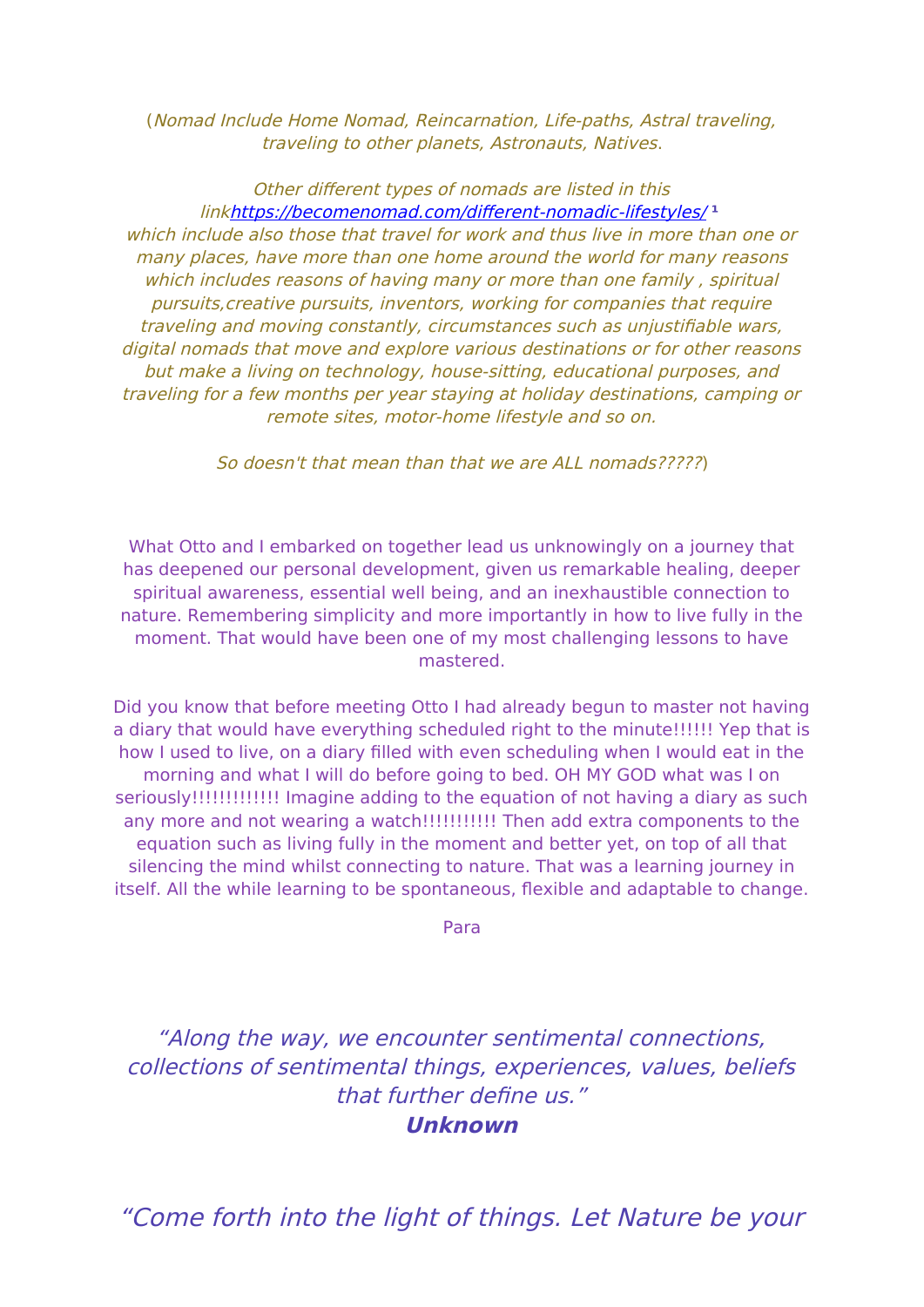(Nomad Include Home Nomad, Reincarnation, Life-paths, Astral traveling, traveling to other planets, Astronauts, Natives.

Other different types of nomads are listed in this linkhttps://becomenomad.com/different-nomadic-lifestyles/1 which include also those that travel for work and thus live in more than one or many places, have more than one home around the world for many reasons which includes reasons of having many or more than one family, spiritual pursuits, creative pursuits, inventors, working for companies that require traveling and moving constantly, circumstances such as unjustifiable wars, digital nomads that move and explore various destinations or for other reasons but make a living on technology, house-sitting, educational purposes, and traveling for a few months per year staying at holiday destinations, camping or remote sites, motor-home lifestyle and so on.

So doesn't that mean than that we are ALL nomads?????)

What Otto and I embarked on together lead us unknowingly on a journey that has deepened our personal development, given us remarkable healing, deeper spiritual awareness, essential well being, and an inexhaustible connection to nature. Remembering simplicity and more importantly in how to live fully in the moment. That would have been one of my most challenging lessons to have mastered.

Did you know that before meeting Otto I had already begun to master not having a diary that would have everything scheduled right to the minute!!!!!! Yep that is how I used to live, on a diary filled with even scheduling when I would eat in the morning and what I will do before going to bed. OH MY GOD what was I on seriously!!!!!!!!!!!!!! Imagine adding to the equation of not having a diary as such any more and not wearing a watch!!!!!!!!!!!! Then add extra components to the equation such as living fully in the moment and better yet, on top of all that silencing the mind whilst connecting to nature. That was a learning journey in itself. All the while learning to be spontaneous, flexible and adaptable to change.

Para

"Along the way, we encounter sentimental connections, collections of sentimental things, experiences, values, beliefs that further define us."

**Unknown** 

"Come forth into the light of things. Let Nature be your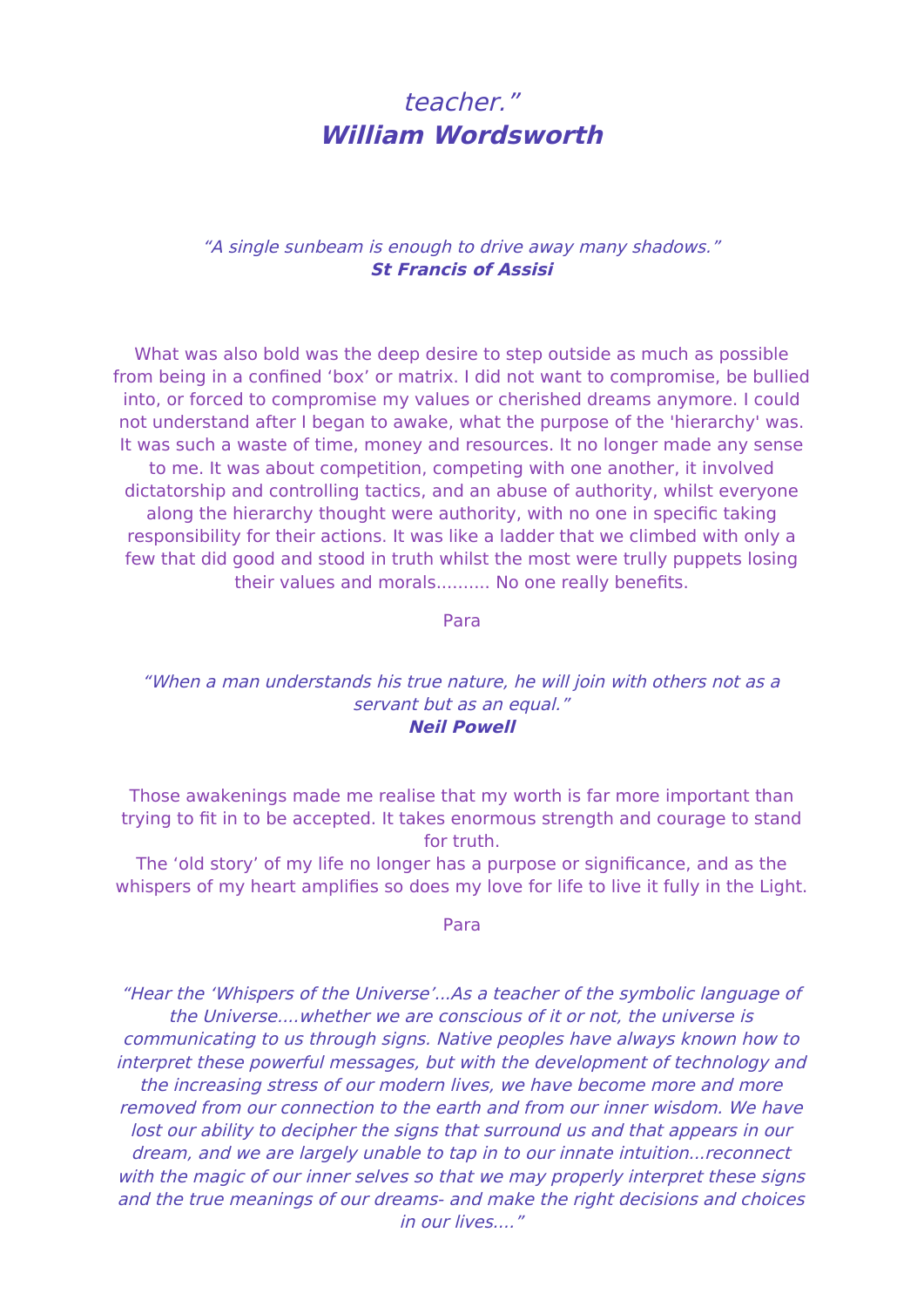# teacher." **William Wordsworth**

## "A single sunbeam is enough to drive away many shadows." **St Francis of Assisi**

What was also bold was the deep desire to step outside as much as possible from being in a confined 'box' or matrix. I did not want to compromise, be bullied into, or forced to compromise my values or cherished dreams anymore. I could not understand after I began to awake, what the purpose of the 'hierarchy' was. It was such a waste of time, money and resources. It no longer made any sense to me. It was about competition, competing with one another, it involved dictatorship and controlling tactics, and an abuse of authority, whilst everyone along the hierarchy thought were authority, with no one in specific taking responsibility for their actions. It was like a ladder that we climbed with only a few that did good and stood in truth whilst the most were trully puppets losing their values and morals.......... No one really benefits.

Para

### "When a man understands his true nature, he will join with others not as a servant but as an equal." **Neil Powell**

Those awakenings made me realise that my worth is far more important than trying to fit in to be accepted. It takes enormous strength and courage to stand for truth.

The 'old story' of my life no longer has a purpose or significance, and as the whispers of my heart amplifies so does my love for life to live it fully in the Light.

#### Para

"Hear the 'Whispers of the Universe'...As a teacher of the symbolic language of the Universe....whether we are conscious of it or not, the universe is communicating to us through signs. Native peoples have always known how to interpret these powerful messages, but with the development of technology and the increasing stress of our modern lives, we have become more and more re moved from our connection to the earth and from our inner wisdom. We have lost our ability to decipher the signs that surround us and that appears in our dream, and we are largely unable to tap in to our innate intuition...reconnect with the magic of our inner selves so that we may properly interpret these signs and the true meanings of our dreams- and make the right decisions and choices in our lives...."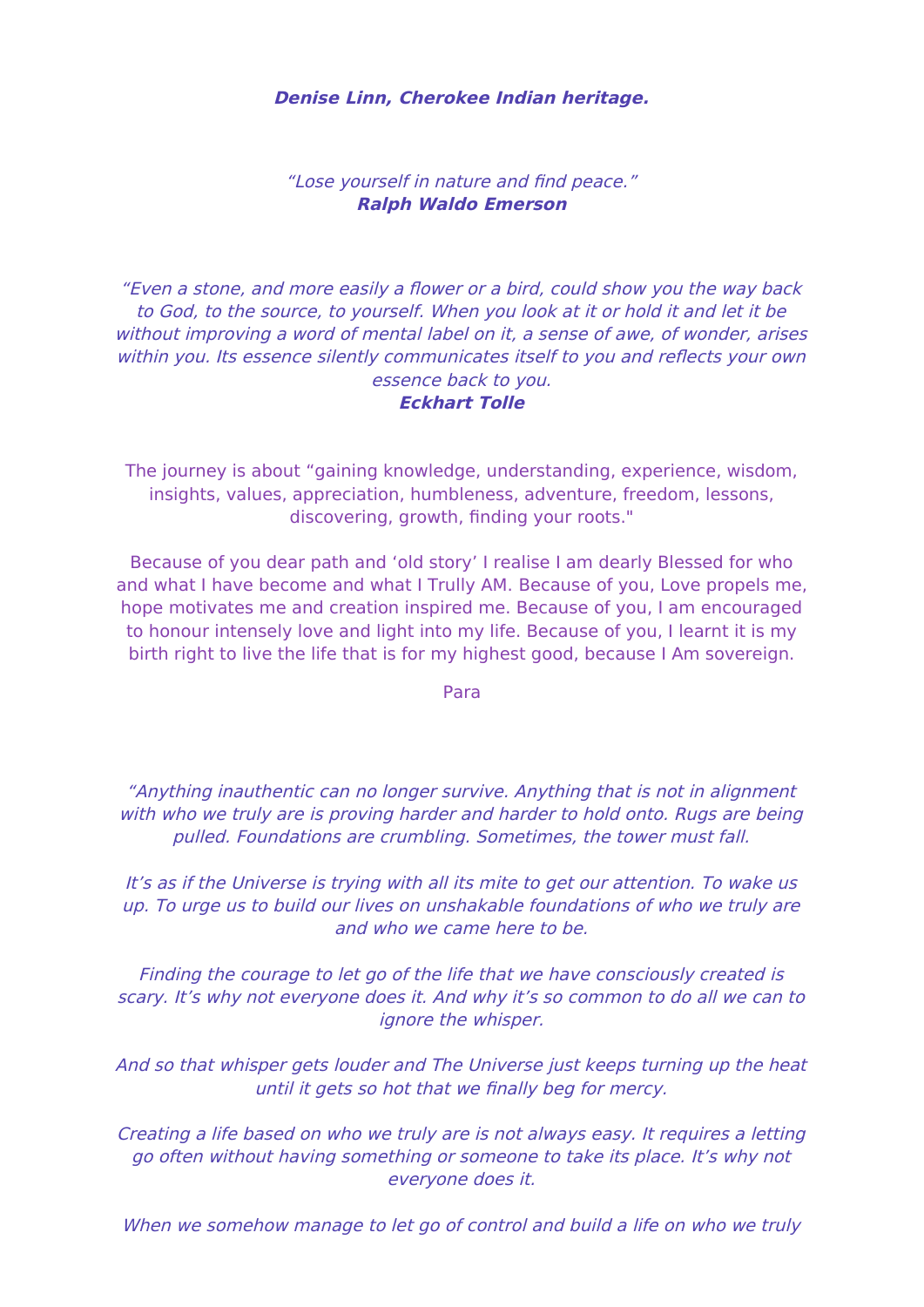### **Denise Linn, Cherokee Indian heritage.**

## "Lose yourself in nature and find peace." **Ralph Waldo Emerson**

"Even a stone, and more easily a flower or a bird, could show you the way back to God, to the source, to yourself. When you look at it or hold it and let it be without improving a word of mental label on it, a sense of awe, of wonder, arises within you. Its essence silently communicates itself to you and reflects your own essence back to you. **Eckhart Tolle**

The journey is about "gaining knowledge, understanding, experience, wisdom, insights, values, appreciation, humbleness, adventure, freedom, lessons, discovering, growth, finding your roots."

Because of you dear path and 'old story' I realise I am dearly Blessed for who and what I have become and what I Trully AM. Because of you, Love propels me, hope motivates me and creation inspired me. Because of you, I am encouraged to honour intensely love and light into my life. Because of you, I learnt it is my birth right to live the life that is for my highest good, because I Am sovereign.

Para

"Anything inauthentic can no longer survive. Anything that is not in alignment with who we truly are is proving harder and harder to hold onto. Rugs are being pulled. Foundations are crumbling. Sometimes, the tower must fall.

It's as if the Universe is trying with all its mite to get our attention. To wake us up. To urge us to build our lives on unshakable foundations of who we truly are and who we came here to be.

Finding the courage to let go of the life that we have consciously created is scary. It's why not everyone does it. And why it's so common to do all we can to ignore the whisper.

And so that whisper gets louder and The Universe just keeps turning up the heat until it gets so hot that we finally beg for mercy.

Creating a life based on who we truly are is not always easy. It requires a letting go often without having something or someone to take its place. It's why not everyone does it.

When we somehow manage to let go of control and build a life on who we truly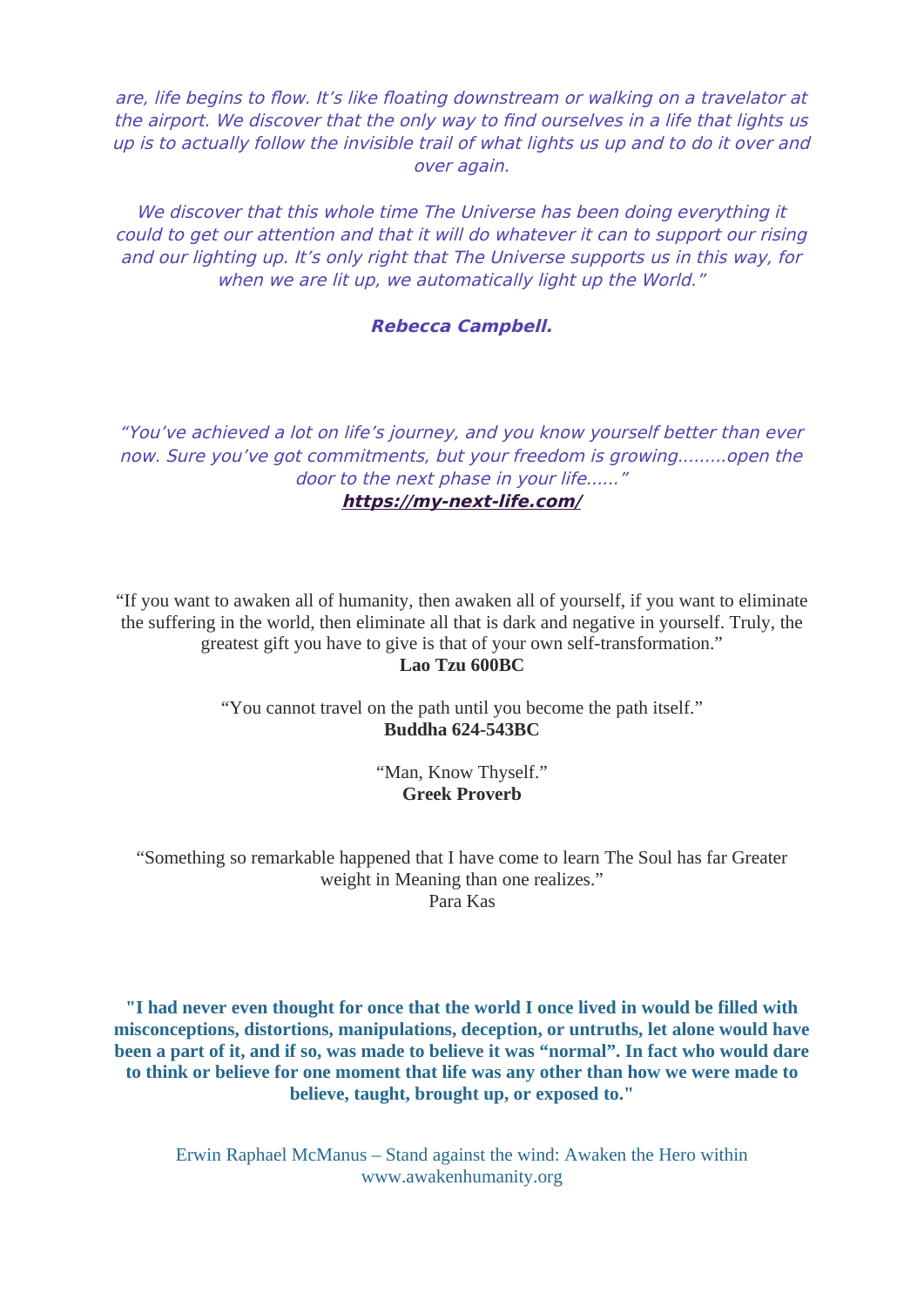are, life begins to flow. It's like floating downstream or walking on a travelator at the airport. We discover that the only way to find ourselves in a life that lights us up is to actually follow the invisible trail of what lights us up and to do it over and over again.

We discover that this whole time The Universe has been doing everything it could to get our attention and that it will do whatever it can to support our rising and our lighting up. It's only right that The Universe supports us in this way, for when we are lit up, we automatically light up the World."

#### **Rebecca Campbell.**

"You've achieved a lot on life's journey, and you know yourself better than ever now. Sure you've got commitments, but your freedom is growing.........open the door to the next phase in your life......"

**<https://my-next-life.com/>**

"If you want to awaken all of humanity, then awaken all of yourself, if you want to eliminate the suffering in the world, then eliminate all that is dark and negative in yourself. Truly, the greatest gift you have to give is that of your own self-transformation."

#### **Lao Tzu 600BC**

"You cannot travel on the path until you become the path itself." **Buddha 624-543BC**

> "Man, Know Thyself." **Greek Proverb**

"Something so remarkable happened that I have come to learn The Soul has far Greater weight in Meaning than one realizes." Para Kas

**"I had never even thought for once that the world I once lived in would be filled with misconceptions, distortions, manipulations, deception, or untruths, let alone would have been a part of it, and if so, was made to believe it was "normal". In fact who would dare to think or believe for one moment that life was any other than how we were made to believe, taught, brought up, or exposed to."**

Erwin Raphael McManus – Stand against the wind: Awaken the Hero within www.awakenhumanity.org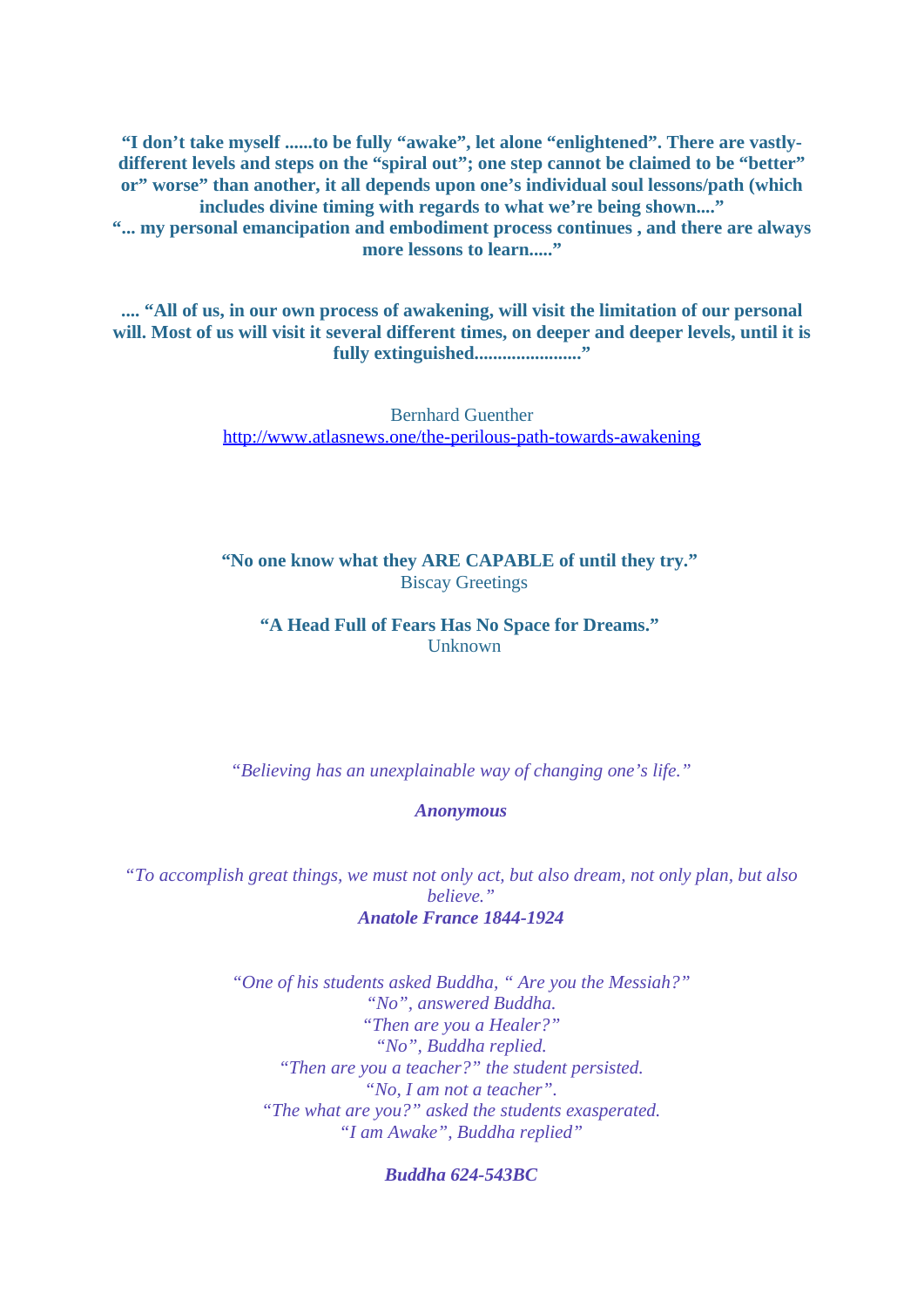**"I don't take myself ......to be fully "awake", let alone "enlightened". There are vastlydifferent levels and steps on the "spiral out"; one step cannot be claimed to be "better" or" worse" than another, it all depends upon one's individual soul lessons/path (which includes divine timing with regards to what we're being shown...." "... my personal emancipation and embodiment process continues , and there are always more lessons to learn....."**

**.... "All of us, in our own process of awakening, will visit the limitation of our personal will. Most of us will visit it several different times, on deeper and deeper levels, until it is fully extinguished......................."**

> Bernhard Guenther <http://www.atlasnews.one/the-perilous-path-towards-awakening>

**"No one know what they ARE CAPABLE of until they try."** Biscay Greetings

**"A Head Full of Fears Has No Space for Dreams."**  Unknown

*"Believing has an unexplainable way of changing one's life."*

*Anonymous*

*"To accomplish great things, we must not only act, but also dream, not only plan, but also believe." Anatole France 1844-1924*

> *"One of his students asked Buddha, " Are you the Messiah?" "No", answered Buddha. "Then are you a Healer?" "No", Buddha replied. "Then are you a teacher?" the student persisted. "No, I am not a teacher". "The what are you?" asked the students exasperated. "I am Awake", Buddha replied"*

> > *Buddha 624-543BC*